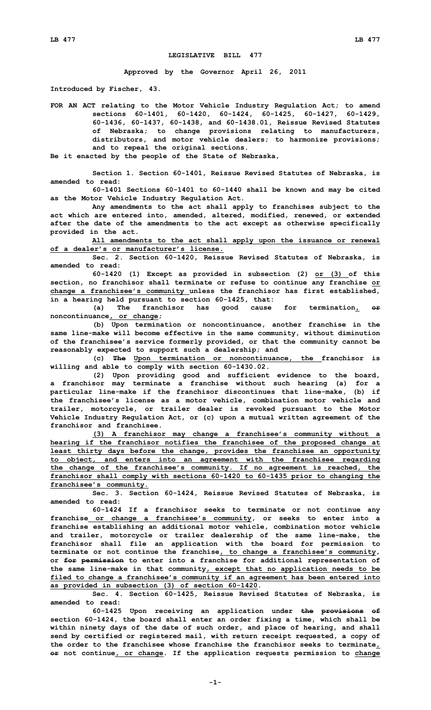## **LEGISLATIVE BILL 477**

**Approved by the Governor April 26, 2011**

**Introduced by Fischer, 43.**

**FOR AN ACT relating to the Motor Vehicle Industry Regulation Act; to amend sections 60-1401, 60-1420, 60-1424, 60-1425, 60-1427, 60-1429, 60-1436, 60-1437, 60-1438, and 60-1438.01, Reissue Revised Statutes of Nebraska; to change provisions relating to manufacturers, distributors, and motor vehicle dealers; to harmonize provisions; and to repeal the original sections.**

**Be it enacted by the people of the State of Nebraska,**

**Section 1. Section 60-1401, Reissue Revised Statutes of Nebraska, is amended to read:**

**60-1401 Sections 60-1401 to 60-1440 shall be known and may be cited as the Motor Vehicle Industry Regulation Act.**

**Any amendments to the act shall apply to franchises subject to the act which are entered into, amended, altered, modified, renewed, or extended after the date of the amendments to the act except as otherwise specifically provided in the act.**

**All amendments to the act shall apply upon the issuance or renewal of a dealer's or manufacturer's license.**

**Sec. 2. Section 60-1420, Reissue Revised Statutes of Nebraska, is amended to read:**

**60-1420 (1) Except as provided in subsection (2) or (3) of this section, no franchisor shall terminate or refuse to continue any franchise or change <sup>a</sup> franchisee's community unless the franchisor has first established, in <sup>a</sup> hearing held pursuant to section 60-1425, that:**

**(a) The franchisor has good cause for termination, or noncontinuance, or change;**

**(b) Upon termination or noncontinuance, another franchise in the same line-make will become effective in the same community, without diminution of the franchisee's service formerly provided, or that the community cannot be reasonably expected to support such <sup>a</sup> dealership; and**

**(c) The Upon termination or noncontinuance, the franchisor is willing and able to comply with section 60-1430.02.**

**(2) Upon providing good and sufficient evidence to the board, <sup>a</sup> franchisor may terminate <sup>a</sup> franchise without such hearing (a) for <sup>a</sup> particular line-make if the franchisor discontinues that line-make, (b) if the franchisee's license as <sup>a</sup> motor vehicle, combination motor vehicle and trailer, motorcycle, or trailer dealer is revoked pursuant to the Motor Vehicle Industry Regulation Act, or (c) upon <sup>a</sup> mutual written agreement of the franchisor and franchisee.**

**(3) <sup>A</sup> franchisor may change <sup>a</sup> franchisee's community without <sup>a</sup> hearing if the franchisor notifies the franchisee of the proposed change at least thirty days before the change, provides the franchisee an opportunity to object, and enters into an agreement with the franchisee regarding the change of the franchisee's community. If no agreement is reached, the franchisor shall comply with sections 60-1420 to 60-1435 prior to changing the franchisee's community.**

**Sec. 3. Section 60-1424, Reissue Revised Statutes of Nebraska, is amended to read:**

**60-1424 If <sup>a</sup> franchisor seeks to terminate or not continue any franchise or change <sup>a</sup> franchisee's community, or seeks to enter into <sup>a</sup> franchise establishing an additional motor vehicle, combination motor vehicle and trailer, motorcycle or trailer dealership of the same line-make, the franchisor shall file an application with the board for permission to terminate or not continue the franchise, to change <sup>a</sup> franchisee's community, or for permission to enter into <sup>a</sup> franchise for additional representation of the same line-make in that community, except that no application needs to be filed to change <sup>a</sup> franchisee's community if an agreement has been entered into as provided in subsection (3) of section 60-1420.**

**Sec. 4. Section 60-1425, Reissue Revised Statutes of Nebraska, is amended to read:**

**60-1425 Upon receiving an application under the provisions of section 60-1424, the board shall enter an order fixing <sup>a</sup> time, which shall be within ninety days of the date of such order, and place of hearing, and shall send by certified or registered mail, with return receipt requested, <sup>a</sup> copy of the order to the franchisee whose franchise the franchisor seeks to terminate, or not continue, or change. If the application requests permission to change**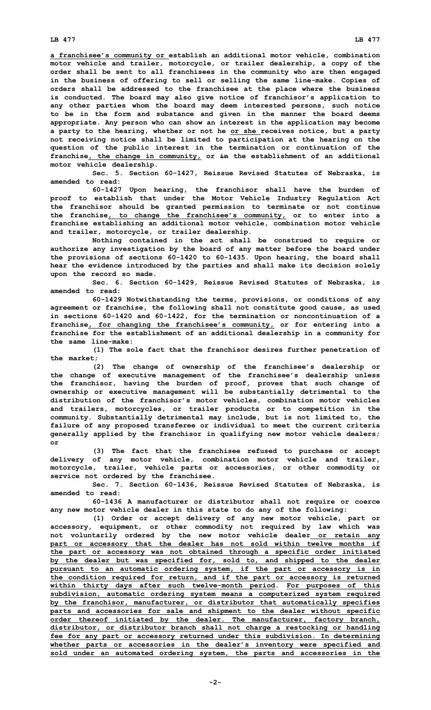**<sup>a</sup> franchisee's community or establish an additional motor vehicle, combination motor vehicle and trailer, motorcycle, or trailer dealership, <sup>a</sup> copy of the order shall be sent to all franchisees in the community who are then engaged in the business of offering to sell or selling the same line-make. Copies of orders shall be addressed to the franchisee at the place where the business is conducted. The board may also give notice of franchisor's application to any other parties whom the board may deem interested persons, such notice to be in the form and substance and given in the manner the board deems appropriate. Any person who can show an interest in the application may become <sup>a</sup> party to the hearing, whether or not he or she receives notice, but <sup>a</sup> party not receiving notice shall be limited to participation at the hearing on the question of the public interest in the termination or continuation of the franchise, the change in community, or in the establishment of an additional motor vehicle dealership.**

**Sec. 5. Section 60-1427, Reissue Revised Statutes of Nebraska, is amended to read:**

**60-1427 Upon hearing, the franchisor shall have the burden of proof to establish that under the Motor Vehicle Industry Regulation Act the franchisor should be granted permission to terminate or not continue the franchise, to change the franchisee's community, or to enter into <sup>a</sup> franchise establishing an additional motor vehicle, combination motor vehicle and trailer, motorcycle, or trailer dealership.**

**Nothing contained in the act shall be construed to require or authorize any investigation by the board of any matter before the board under the provisions of sections 60-1420 to 60-1435. Upon hearing, the board shall hear the evidence introduced by the parties and shall make its decision solely upon the record so made.**

**Sec. 6. Section 60-1429, Reissue Revised Statutes of Nebraska, is amended to read:**

**60-1429 Notwithstanding the terms, provisions, or conditions of any agreement or franchise, the following shall not constitute good cause, as used in sections 60-1420 and 60-1422, for the termination or noncontinuation of <sup>a</sup> franchise, for changing the franchisee's community, or for entering into <sup>a</sup> franchise for the establishment of an additional dealership in <sup>a</sup> community for the same line-make:**

**(1) The sole fact that the franchisor desires further penetration of the market;**

**(2) The change of ownership of the franchisee's dealership or the change of executive management of the franchisee's dealership unless the franchisor, having the burden of proof, proves that such change of ownership or executive management will be substantially detrimental to the distribution of the franchisor's motor vehicles, combination motor vehicles and trailers, motorcycles, or trailer products or to competition in the community. Substantially detrimental may include, but is not limited to, the failure of any proposed transferee or individual to meet the current criteria generally applied by the franchisor in qualifying new motor vehicle dealers; or**

**(3) The fact that the franchisee refused to purchase or accept delivery of any motor vehicle, combination motor vehicle and trailer, motorcycle, trailer, vehicle parts or accessories, or other commodity or service not ordered by the franchisee.**

**Sec. 7. Section 60-1436, Reissue Revised Statutes of Nebraska, is amended to read:**

**60-1436 <sup>A</sup> manufacturer or distributor shall not require or coerce any new motor vehicle dealer in this state to do any of the following:**

**(1) Order or accept delivery of any new motor vehicle, part or accessory, equipment, or other commodity not required by law which was not voluntarily ordered by the new motor vehicle dealer or retain any part or accessory that the dealer has not sold within twelve months if the part or accessory was not obtained through <sup>a</sup> specific order initiated by the dealer but was specified for, sold to, and shipped to the dealer pursuant to an automatic ordering system, if the part or accessory is in the condition required for return, and if the part or accessory is returned within thirty days after such twelve-month period. For purposes of this subdivision, automatic ordering system means <sup>a</sup> computerized system required by the franchisor, manufacturer, or distributor that automatically specifies parts and accessories for sale and shipment to the dealer without specific order thereof initiated by the dealer. The manufacturer, factory branch, distributor, or distributor branch shall not charge <sup>a</sup> restocking or handling fee for any part or accessory returned under this subdivision. In determining whether parts or accessories in the dealer's inventory were specified and sold under an automated ordering system, the parts and accessories in the**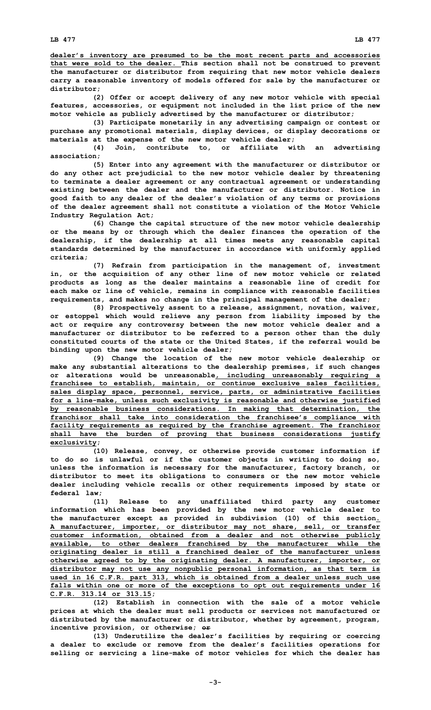**dealer's inventory are presumed to be the most recent parts and accessories that were sold to the dealer. This section shall not be construed to prevent the manufacturer or distributor from requiring that new motor vehicle dealers carry <sup>a</sup> reasonable inventory of models offered for sale by the manufacturer or distributor;**

**(2) Offer or accept delivery of any new motor vehicle with special features, accessories, or equipment not included in the list price of the new motor vehicle as publicly advertised by the manufacturer or distributor;**

**(3) Participate monetarily in any advertising campaign or contest or purchase any promotional materials, display devices, or display decorations or materials at the expense of the new motor vehicle dealer;**

**(4) Join, contribute to, or affiliate with an advertising association;**

**(5) Enter into any agreement with the manufacturer or distributor or do any other act prejudicial to the new motor vehicle dealer by threatening to terminate <sup>a</sup> dealer agreement or any contractual agreement or understanding existing between the dealer and the manufacturer or distributor. Notice in good faith to any dealer of the dealer's violation of any terms or provisions of the dealer agreement shall not constitute <sup>a</sup> violation of the Motor Vehicle Industry Regulation Act;**

**(6) Change the capital structure of the new motor vehicle dealership or the means by or through which the dealer finances the operation of the dealership, if the dealership at all times meets any reasonable capital standards determined by the manufacturer in accordance with uniformly applied criteria;**

**(7) Refrain from participation in the management of, investment in, or the acquisition of any other line of new motor vehicle or related products as long as the dealer maintains <sup>a</sup> reasonable line of credit for each make or line of vehicle, remains in compliance with reasonable facilities requirements, and makes no change in the principal management of the dealer;**

**(8) Prospectively assent to <sup>a</sup> release, assignment, novation, waiver, or estoppel which would relieve any person from liability imposed by the act or require any controversy between the new motor vehicle dealer and <sup>a</sup> manufacturer or distributor to be referred to <sup>a</sup> person other than the duly constituted courts of the state or the United States, if the referral would be binding upon the new motor vehicle dealer;**

**(9) Change the location of the new motor vehicle dealership or make any substantial alterations to the dealership premises, if such changes or alterations would be unreasonable, including unreasonably requiring <sup>a</sup> franchisee to establish, maintain, or continue exclusive sales facilities, sales display space, personnel, service, parts, or administrative facilities for <sup>a</sup> line-make, unless such exclusivity is reasonable and otherwise justified by reasonable business considerations. In making that determination, the franchisor shall take into consideration the franchisee's compliance with facility requirements as required by the franchise agreement. The franchisor shall have the burden of proving that business considerations justify exclusivity;**

**(10) Release, convey, or otherwise provide customer information if to do so is unlawful or if the customer objects in writing to doing so, unless the information is necessary for the manufacturer, factory branch, or distributor to meet its obligations to consumers or the new motor vehicle dealer including vehicle recalls or other requirements imposed by state or federal law;**

**(11) Release to any unaffiliated third party any customer information which has been provided by the new motor vehicle dealer to the manufacturer except as provided in subdivision (10) of this section. A manufacturer, importer, or distributor may not share, sell, or transfer customer information, obtained from <sup>a</sup> dealer and not otherwise publicly available, to other dealers franchised by the manufacturer while the originating dealer is still <sup>a</sup> franchised dealer of the manufacturer unless otherwise agreed to by the originating dealer. A manufacturer, importer, or distributor may not use any nonpublic personal information, as that term is used in 16 C.F.R. part 313, which is obtained from <sup>a</sup> dealer unless such use falls within one or more of the exceptions to opt out requirements under 16 C.F.R. 313.14 or 313.15;**

**(12) Establish in connection with the sale of <sup>a</sup> motor vehicle prices at which the dealer must sell products or services not manufactured or distributed by the manufacturer or distributor, whether by agreement, program, incentive provision, or otherwise; or**

**(13) Underutilize the dealer's facilities by requiring or coercing <sup>a</sup> dealer to exclude or remove from the dealer's facilities operations for selling or servicing <sup>a</sup> line-make of motor vehicles for which the dealer has**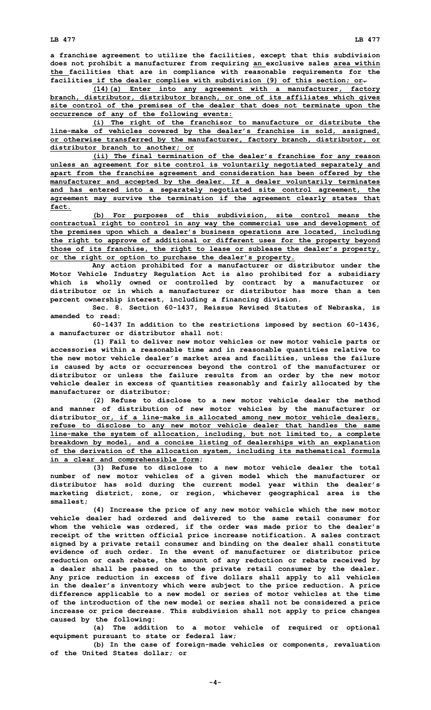**<sup>a</sup> franchise agreement to utilize the facilities, except that this subdivision does not prohibit <sup>a</sup> manufacturer from requiring an exclusive sales area within the facilities that are in compliance with reasonable requirements for the facilities if the dealer complies with subdivision (9) of this section; or.**

**(14)(a) Enter into any agreement with <sup>a</sup> manufacturer, factory branch, distributor, distributor branch, or one of its affiliates which gives site control of the premises of the dealer that does not terminate upon the occurrence of any of the following events:**

**(i) The right of the franchisor to manufacture or distribute the line-make of vehicles covered by the dealer's franchise is sold, assigned, or otherwise transferred by the manufacturer, factory branch, distributor, or distributor branch to another; or**

**(ii) The final termination of the dealer's franchise for any reason unless an agreement for site control is voluntarily negotiated separately and apart from the franchise agreement and consideration has been offered by the manufacturer and accepted by the dealer. If <sup>a</sup> dealer voluntarily terminates and has entered into <sup>a</sup> separately negotiated site control agreement, the agreement may survive the termination if the agreement clearly states that fact.**

**(b) For purposes of this subdivision, site control means the contractual right to control in any way the commercial use and development of the premises upon which <sup>a</sup> dealer's business operations are located, including the right to approve of additional or different uses for the property beyond those of its franchise, the right to lease or sublease the dealer's property, or the right or option to purchase the dealer's property.**

**Any action prohibited for <sup>a</sup> manufacturer or distributor under the Motor Vehicle Industry Regulation Act is also prohibited for <sup>a</sup> subsidiary which is wholly owned or controlled by contract by <sup>a</sup> manufacturer or distributor or in which a manufacturer or distributor has more than a ten percent ownership interest, including <sup>a</sup> financing division.**

**Sec. 8. Section 60-1437, Reissue Revised Statutes of Nebraska, is amended to read:**

**60-1437 In addition to the restrictions imposed by section 60-1436, a manufacturer or distributor shall not:**

**(1) Fail to deliver new motor vehicles or new motor vehicle parts or accessories within <sup>a</sup> reasonable time and in reasonable quantities relative to the new motor vehicle dealer's market area and facilities, unless the failure is caused by acts or occurrences beyond the control of the manufacturer or distributor or unless the failure results from an order by the new motor vehicle dealer in excess of quantities reasonably and fairly allocated by the manufacturer or distributor;**

**(2) Refuse to disclose to <sup>a</sup> new motor vehicle dealer the method and manner of distribution of new motor vehicles by the manufacturer or distributor or, if <sup>a</sup> line-make is allocated among new motor vehicle dealers, refuse to disclose to any new motor vehicle dealer that handles the same line-make the system of allocation, including, but not limited to, <sup>a</sup> complete breakdown by model, and <sup>a</sup> concise listing of dealerships with an explanation of the derivation of the allocation system, including its mathematical formula in <sup>a</sup> clear and comprehensible form;**

**(3) Refuse to disclose to <sup>a</sup> new motor vehicle dealer the total number of new motor vehicles of <sup>a</sup> given model which the manufacturer or distributor has sold during the current model year within the dealer's marketing district, zone, or region, whichever geographical area is the smallest;**

**(4) Increase the price of any new motor vehicle which the new motor vehicle dealer had ordered and delivered to the same retail consumer for whom the vehicle was ordered, if the order was made prior to the dealer's receipt of the written official price increase notification. A sales contract signed by <sup>a</sup> private retail consumer and binding on the dealer shall constitute evidence of such order. In the event of manufacturer or distributor price reduction or cash rebate, the amount of any reduction or rebate received by <sup>a</sup> dealer shall be passed on to the private retail consumer by the dealer. Any price reduction in excess of five dollars shall apply to all vehicles in the dealer's inventory which were subject to the price reduction. A price difference applicable to <sup>a</sup> new model or series of motor vehicles at the time of the introduction of the new model or series shall not be considered <sup>a</sup> price increase or price decrease. This subdivision shall not apply to price changes caused by the following:**

**(a) The addition to <sup>a</sup> motor vehicle of required or optional equipment pursuant to state or federal law;**

**(b) In the case of foreign-made vehicles or components, revaluation of the United States dollar; or**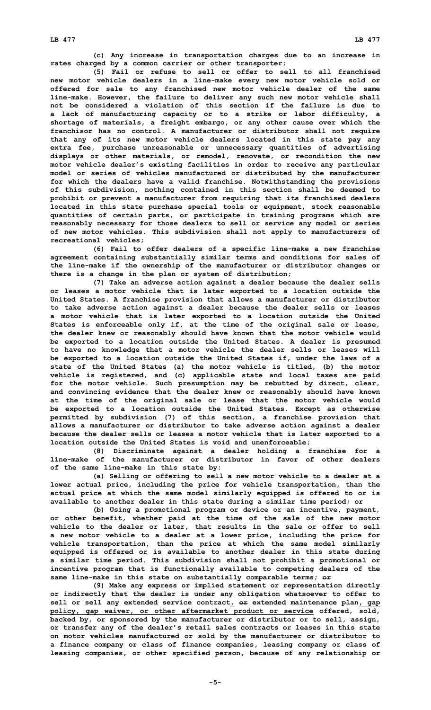**(c) Any increase in transportation charges due to an increase in rates charged by <sup>a</sup> common carrier or other transporter;**

**(5) Fail or refuse to sell or offer to sell to all franchised new motor vehicle dealers in <sup>a</sup> line-make every new motor vehicle sold or offered for sale to any franchised new motor vehicle dealer of the same line-make. However, the failure to deliver any such new motor vehicle shall not be considered a violation of this section if the failure is due to <sup>a</sup> lack of manufacturing capacity or to <sup>a</sup> strike or labor difficulty, <sup>a</sup> shortage of materials, <sup>a</sup> freight embargo, or any other cause over which the franchisor has no control. A manufacturer or distributor shall not require that any of its new motor vehicle dealers located in this state pay any extra fee, purchase unreasonable or unnecessary quantities of advertising displays or other materials, or remodel, renovate, or recondition the new motor vehicle dealer's existing facilities in order to receive any particular model or series of vehicles manufactured or distributed by the manufacturer for which the dealers have <sup>a</sup> valid franchise. Notwithstanding the provisions of this subdivision, nothing contained in this section shall be deemed to prohibit or prevent <sup>a</sup> manufacturer from requiring that its franchised dealers located in this state purchase special tools or equipment, stock reasonable quantities of certain parts, or participate in training programs which are reasonably necessary for those dealers to sell or service any model or series of new motor vehicles. This subdivision shall not apply to manufacturers of recreational vehicles;**

**(6) Fail to offer dealers of <sup>a</sup> specific line-make <sup>a</sup> new franchise agreement containing substantially similar terms and conditions for sales of the line-make if the ownership of the manufacturer or distributor changes or there is <sup>a</sup> change in the plan or system of distribution;**

**(7) Take an adverse action against <sup>a</sup> dealer because the dealer sells or leases <sup>a</sup> motor vehicle that is later exported to <sup>a</sup> location outside the United States. A franchise provision that allows <sup>a</sup> manufacturer or distributor to take adverse action against <sup>a</sup> dealer because the dealer sells or leases <sup>a</sup> motor vehicle that is later exported to <sup>a</sup> location outside the United States is enforceable only if, at the time of the original sale or lease, the dealer knew or reasonably should have known that the motor vehicle would be exported to <sup>a</sup> location outside the United States. A dealer is presumed to have no knowledge that <sup>a</sup> motor vehicle the dealer sells or leases will be exported to <sup>a</sup> location outside the United States if, under the laws of <sup>a</sup> state of the United States (a) the motor vehicle is titled, (b) the motor vehicle is registered, and (c) applicable state and local taxes are paid for the motor vehicle. Such presumption may be rebutted by direct, clear, and convincing evidence that the dealer knew or reasonably should have known at the time of the original sale or lease that the motor vehicle would be exported to <sup>a</sup> location outside the United States. Except as otherwise permitted by subdivision (7) of this section, <sup>a</sup> franchise provision that allows <sup>a</sup> manufacturer or distributor to take adverse action against <sup>a</sup> dealer because the dealer sells or leases <sup>a</sup> motor vehicle that is later exported to <sup>a</sup> location outside the United States is void and unenforceable;**

**(8) Discriminate against <sup>a</sup> dealer holding <sup>a</sup> franchise for <sup>a</sup> line-make of the manufacturer or distributor in favor of other dealers of the same line-make in this state by:**

**(a) Selling or offering to sell <sup>a</sup> new motor vehicle to <sup>a</sup> dealer at <sup>a</sup> lower actual price, including the price for vehicle transportation, than the actual price at which the same model similarly equipped is offered to or is available to another dealer in this state during <sup>a</sup> similar time period; or**

**(b) Using <sup>a</sup> promotional program or device or an incentive, payment, or other benefit, whether paid at the time of the sale of the new motor vehicle to the dealer or later, that results in the sale or offer to sell <sup>a</sup> new motor vehicle to <sup>a</sup> dealer at <sup>a</sup> lower price, including the price for vehicle transportation, than the price at which the same model similarly equipped is offered or is available to another dealer in this state during <sup>a</sup> similar time period. This subdivision shall not prohibit <sup>a</sup> promotional or incentive program that is functionally available to competing dealers of the same line-make in this state on substantially comparable terms; or**

**(9) Make any express or implied statement or representation directly or indirectly that the dealer is under any obligation whatsoever to offer to sell or sell any extended service contract, or extended maintenance plan, gap policy, gap waiver, or other aftermarket product or service offered, sold, backed by, or sponsored by the manufacturer or distributor or to sell, assign, or transfer any of the dealer's retail sales contracts or leases in this state on motor vehicles manufactured or sold by the manufacturer or distributor to <sup>a</sup> finance company or class of finance companies, leasing company or class of leasing companies, or other specified person, because of any relationship or**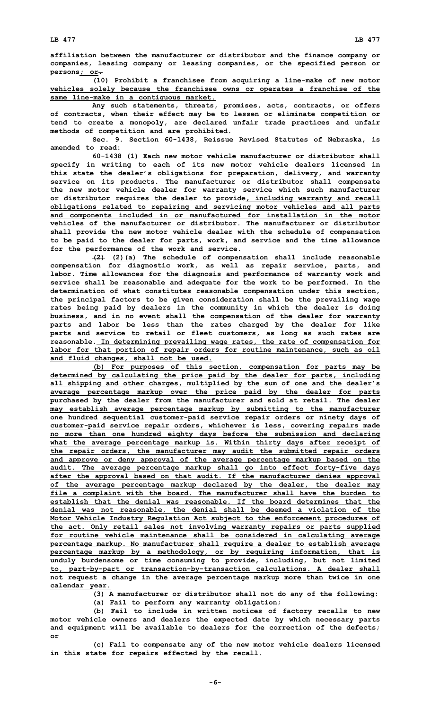**affiliation between the manufacturer or distributor and the finance company or companies, leasing company or leasing companies, or the specified person or persons; or.**

**(10) Prohibit <sup>a</sup> franchisee from acquiring <sup>a</sup> line-make of new motor vehicles solely because the franchisee owns or operates <sup>a</sup> franchise of the same line-make in <sup>a</sup> contiguous market.**

**Any such statements, threats, promises, acts, contracts, or offers of contracts, when their effect may be to lessen or eliminate competition or tend to create <sup>a</sup> monopoly, are declared unfair trade practices and unfair methods of competition and are prohibited.**

**Sec. 9. Section 60-1438, Reissue Revised Statutes of Nebraska, is amended to read:**

**60-1438 (1) Each new motor vehicle manufacturer or distributor shall specify in writing to each of its new motor vehicle dealers licensed in this state the dealer's obligations for preparation, delivery, and warranty service on its products. The manufacturer or distributor shall compensate the new motor vehicle dealer for warranty service which such manufacturer or distributor requires the dealer to provide, including warranty and recall obligations related to repairing and servicing motor vehicles and all parts and components included in or manufactured for installation in the motor vehicles of the manufacturer or distributor. The manufacturer or distributor shall provide the new motor vehicle dealer with the schedule of compensation to be paid to the dealer for parts, work, and service and the time allowance for the performance of the work and service.**

**(2) (2)(a) The schedule of compensation shall include reasonable compensation for diagnostic work, as well as repair service, parts, and labor. Time allowances for the diagnosis and performance of warranty work and service shall be reasonable and adequate for the work to be performed. In the determination of what constitutes reasonable compensation under this section, the principal factors to be given consideration shall be the prevailing wage rates being paid by dealers in the community in which the dealer is doing business, and in no event shall the compensation of the dealer for warranty parts and labor be less than the rates charged by the dealer for like parts and service to retail or fleet customers, as long as such rates are reasonable. In determining prevailing wage rates, the rate of compensation for labor for that portion of repair orders for routine maintenance, such as oil and fluid changes, shall not be used.**

**(b) For purposes of this section, compensation for parts may be determined by calculating the price paid by the dealer for parts, including all shipping and other charges, multiplied by the sum of one and the dealer's average percentage markup over the price paid by the dealer for parts purchased by the dealer from the manufacturer and sold at retail. The dealer may establish average percentage markup by submitting to the manufacturer one hundred sequential customer-paid service repair orders or ninety days of customer-paid service repair orders, whichever is less, covering repairs made no more than one hundred eighty days before the submission and declaring what the average percentage markup is. Within thirty days after receipt of the repair orders, the manufacturer may audit the submitted repair orders and approve or deny approval of the average percentage markup based on the audit. The average percentage markup shall go into effect forty-five days after the approval based on that audit. If the manufacturer denies approval of the average percentage markup declared by the dealer, the dealer may file <sup>a</sup> complaint with the board. The manufacturer shall have the burden to establish that the denial was reasonable. If the board determines that the denial was not reasonable, the denial shall be deemed <sup>a</sup> violation of the Motor Vehicle Industry Regulation Act subject to the enforcement procedures of the act. Only retail sales not involving warranty repairs or parts supplied for routine vehicle maintenance shall be considered in calculating average percentage markup. No manufacturer shall require <sup>a</sup> dealer to establish average percentage markup by <sup>a</sup> methodology, or by requiring information, that is unduly burdensome or time consuming to provide, including, but not limited to, part-by-part or transaction-by-transaction calculations. A dealer shall not request <sup>a</sup> change in the average percentage markup more than twice in one calendar year.**

> **(3) <sup>A</sup> manufacturer or distributor shall not do any of the following: (a) Fail to perform any warranty obligation;**

**(b) Fail to include in written notices of factory recalls to new motor vehicle owners and dealers the expected date by which necessary parts and equipment will be available to dealers for the correction of the defects; or**

**(c) Fail to compensate any of the new motor vehicle dealers licensed in this state for repairs effected by the recall.**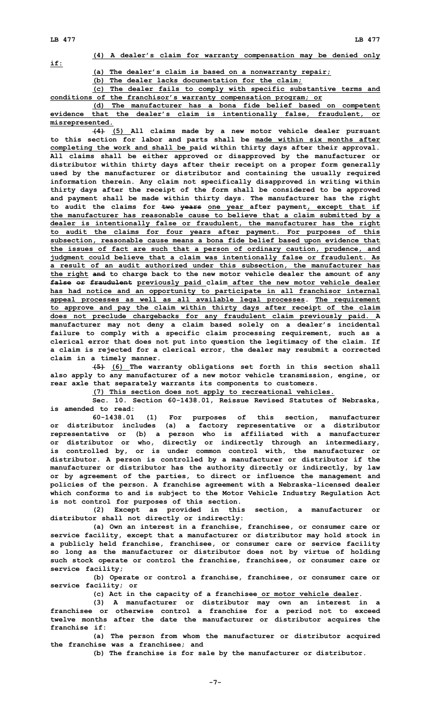**if:**

**(4) <sup>A</sup> dealer's claim for warranty compensation may be denied only**

**(a) The dealer's claim is based on <sup>a</sup> nonwarranty repair;**

**(b) The dealer lacks documentation for the claim;**

**(c) The dealer fails to comply with specific substantive terms and conditions of the franchisor's warranty compensation program; or**

**(d) The manufacturer has <sup>a</sup> bona fide belief based on competent evidence that the dealer's claim is intentionally false, fraudulent, or misrepresented.**

**(4) (5) All claims made by <sup>a</sup> new motor vehicle dealer pursuant to this section for labor and parts shall be made within six months after completing the work and shall be paid within thirty days after their approval. All claims shall be either approved or disapproved by the manufacturer or distributor within thirty days after their receipt on <sup>a</sup> proper form generally used by the manufacturer or distributor and containing the usually required information therein. Any claim not specifically disapproved in writing within thirty days after the receipt of the form shall be considered to be approved and payment shall be made within thirty days. The manufacturer has the right to audit the claims for two years one year after payment, except that if the manufacturer has reasonable cause to believe that <sup>a</sup> claim submitted by <sup>a</sup> dealer is intentionally false or fraudulent, the manufacturer has the right to audit the claims for four years after payment. For purposes of this subsection, reasonable cause means <sup>a</sup> bona fide belief based upon evidence that the issues of fact are such that <sup>a</sup> person of ordinary caution, prudence, and judgment could believe that <sup>a</sup> claim was intentionally false or fraudulent. As <sup>a</sup> result of an audit authorized under this subsection, the manufacturer has the right and to charge back to the new motor vehicle dealer the amount of any false or fraudulent previously paid claim after the new motor vehicle dealer has had notice and an opportunity to participate in all franchisor internal appeal processes as well as all available legal processes. The requirement to approve and pay the claim within thirty days after receipt of the claim does not preclude chargebacks for any fraudulent claim previously paid. A manufacturer may not deny <sup>a</sup> claim based solely on <sup>a</sup> dealer's incidental failure to comply with <sup>a</sup> specific claim processing requirement, such as <sup>a</sup> clerical error that does not put into question the legitimacy of the claim. If <sup>a</sup> claim is rejected for <sup>a</sup> clerical error, the dealer may resubmit <sup>a</sup> corrected claim in <sup>a</sup> timely manner.**

**(5) (6) The warranty obligations set forth in this section shall also apply to any manufacturer of <sup>a</sup> new motor vehicle transmission, engine, or rear axle that separately warrants its components to customers.**

**(7) This section does not apply to recreational vehicles.**

**Sec. 10. Section 60-1438.01, Reissue Revised Statutes of Nebraska, is amended to read:**

**60-1438.01 (1) For purposes of this section, manufacturer or distributor includes (a) <sup>a</sup> factory representative or <sup>a</sup> distributor representative or (b) <sup>a</sup> person who is affiliated with <sup>a</sup> manufacturer or distributor or who, directly or indirectly through an intermediary, is controlled by, or is under common control with, the manufacturer or distributor. A person is controlled by <sup>a</sup> manufacturer or distributor if the manufacturer or distributor has the authority directly or indirectly, by law or by agreement of the parties, to direct or influence the management and policies of the person. A franchise agreement with <sup>a</sup> Nebraska-licensed dealer which conforms to and is subject to the Motor Vehicle Industry Regulation Act is not control for purposes of this section.**

**(2) Except as provided in this section, <sup>a</sup> manufacturer or distributor shall not directly or indirectly:**

**(a) Own an interest in <sup>a</sup> franchise, franchisee, or consumer care or service facility, except that <sup>a</sup> manufacturer or distributor may hold stock in <sup>a</sup> publicly held franchise, franchisee, or consumer care or service facility so long as the manufacturer or distributor does not by virtue of holding such stock operate or control the franchise, franchisee, or consumer care or service facility;**

**(b) Operate or control <sup>a</sup> franchise, franchisee, or consumer care or service facility; or**

**(c) Act in the capacity of <sup>a</sup> franchisee or motor vehicle dealer.**

**(3) <sup>A</sup> manufacturer or distributor may own an interest in <sup>a</sup> franchisee or otherwise control <sup>a</sup> franchise for <sup>a</sup> period not to exceed twelve months after the date the manufacturer or distributor acquires the franchise if:**

**(a) The person from whom the manufacturer or distributor acquired the franchise was <sup>a</sup> franchisee; and**

**(b) The franchise is for sale by the manufacturer or distributor.**